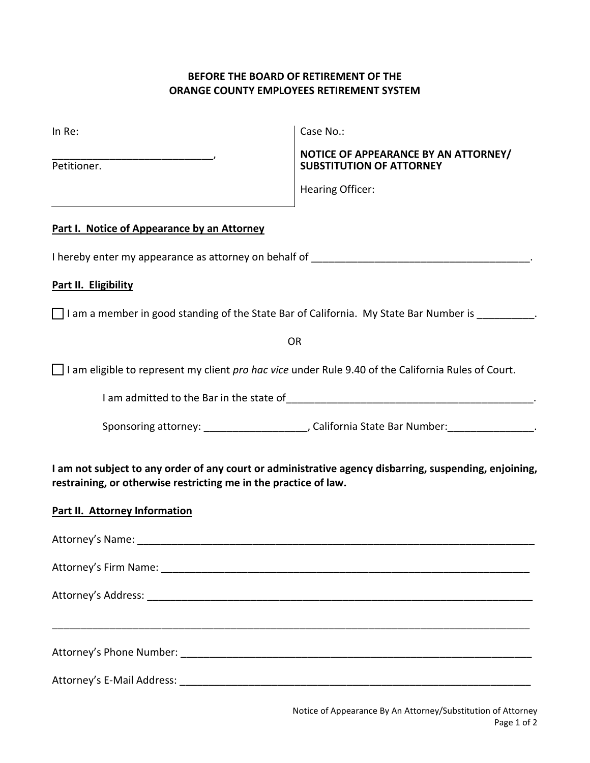# **BEFORE THE BOARD OF RETIREMENT OF THE ORANGE COUNTY EMPLOYEES RETIREMENT SYSTEM**

| In Re:                                                                                                                                                                     | Case No.:                                                                                         |  |
|----------------------------------------------------------------------------------------------------------------------------------------------------------------------------|---------------------------------------------------------------------------------------------------|--|
| Petitioner.                                                                                                                                                                | NOTICE OF APPEARANCE BY AN ATTORNEY/<br><b>SUBSTITUTION OF ATTORNEY</b>                           |  |
|                                                                                                                                                                            | <b>Hearing Officer:</b>                                                                           |  |
| Part I. Notice of Appearance by an Attorney                                                                                                                                |                                                                                                   |  |
|                                                                                                                                                                            |                                                                                                   |  |
| Part II. Eligibility                                                                                                                                                       |                                                                                                   |  |
|                                                                                                                                                                            | I am a member in good standing of the State Bar of California. My State Bar Number is __________. |  |
|                                                                                                                                                                            | <b>OR</b>                                                                                         |  |
| $\Box$ I am eligible to represent my client pro hac vice under Rule 9.40 of the California Rules of Court.                                                                 |                                                                                                   |  |
|                                                                                                                                                                            |                                                                                                   |  |
|                                                                                                                                                                            | Sponsoring attorney: _______________________, California State Bar Number: _________________.     |  |
| I am not subject to any order of any court or administrative agency disbarring, suspending, enjoining,<br>restraining, or otherwise restricting me in the practice of law. |                                                                                                   |  |
| <b>Part II. Attorney Information</b>                                                                                                                                       |                                                                                                   |  |
|                                                                                                                                                                            |                                                                                                   |  |
|                                                                                                                                                                            |                                                                                                   |  |
|                                                                                                                                                                            |                                                                                                   |  |
|                                                                                                                                                                            |                                                                                                   |  |
|                                                                                                                                                                            |                                                                                                   |  |
|                                                                                                                                                                            |                                                                                                   |  |